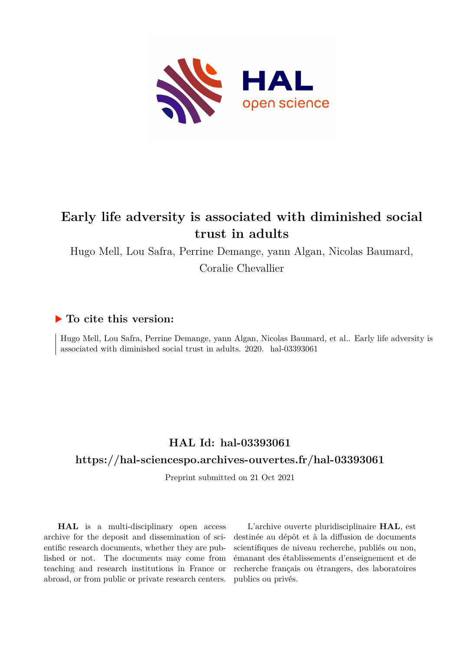

# **Early life adversity is associated with diminished social trust in adults**

Hugo Mell, Lou Safra, Perrine Demange, yann Algan, Nicolas Baumard,

Coralie Chevallier

## **To cite this version:**

Hugo Mell, Lou Safra, Perrine Demange, yann Algan, Nicolas Baumard, et al.. Early life adversity is associated with diminished social trust in adults.  $2020$ . hal- $03393061$ 

# **HAL Id: hal-03393061**

## **<https://hal-sciencespo.archives-ouvertes.fr/hal-03393061>**

Preprint submitted on 21 Oct 2021

**HAL** is a multi-disciplinary open access archive for the deposit and dissemination of scientific research documents, whether they are published or not. The documents may come from teaching and research institutions in France or abroad, or from public or private research centers.

L'archive ouverte pluridisciplinaire **HAL**, est destinée au dépôt et à la diffusion de documents scientifiques de niveau recherche, publiés ou non, émanant des établissements d'enseignement et de recherche français ou étrangers, des laboratoires publics ou privés.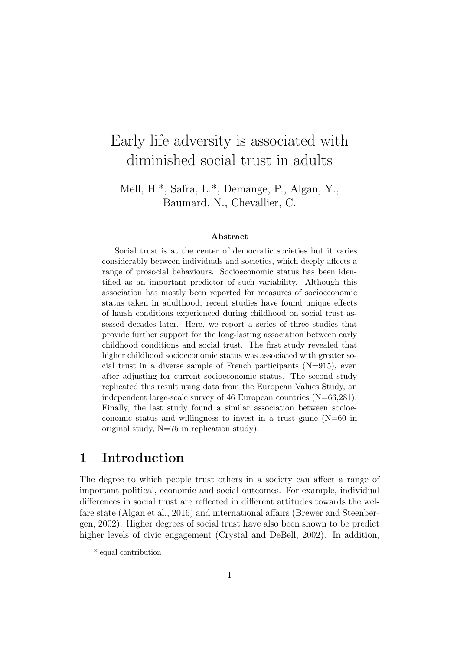# Early life adversity is associated with diminished social trust in adults

Mell, H.\*, Safra, L.\*, Demange, P., Algan, Y., Baumard, N., Chevallier, C.

#### Abstract

Social trust is at the center of democratic societies but it varies considerably between individuals and societies, which deeply affects a range of prosocial behaviours. Socioeconomic status has been identified as an important predictor of such variability. Although this association has mostly been reported for measures of socioeconomic status taken in adulthood, recent studies have found unique effects of harsh conditions experienced during childhood on social trust assessed decades later. Here, we report a series of three studies that provide further support for the long-lasting association between early childhood conditions and social trust. The first study revealed that higher childhood socioeconomic status was associated with greater social trust in a diverse sample of French participants  $(N=915)$ , even after adjusting for current socioeconomic status. The second study replicated this result using data from the European Values Study, an independent large-scale survey of 46 European countries (N=66,281). Finally, the last study found a similar association between socioeconomic status and willingness to invest in a trust game (N=60 in original study, N=75 in replication study).

# 1 Introduction

The degree to which people trust others in a society can affect a range of important political, economic and social outcomes. For example, individual differences in social trust are reflected in different attitudes towards the welfare state (Algan et al., 2016) and international affairs (Brewer and Steenbergen, 2002). Higher degrees of social trust have also been shown to be predict higher levels of civic engagement (Crystal and DeBell, 2002). In addition,

<sup>\*</sup> equal contribution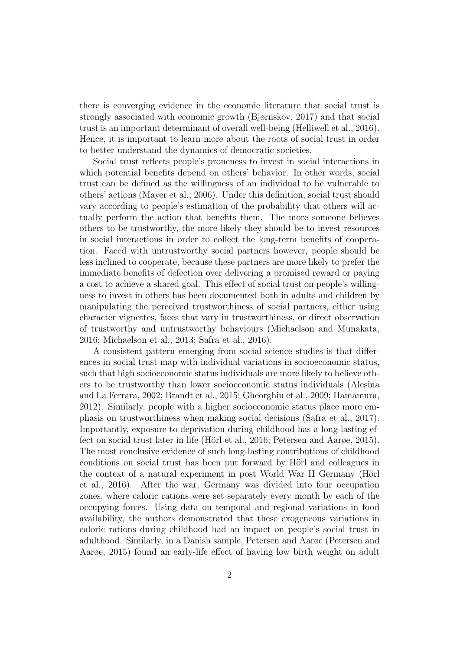there is converging evidence in the economic literature that social trust is strongly associated with economic growth (Bjørnskov, 2017) and that social trust is an important determinant of overall well-being (Helliwell et al., 2016). Hence, it is important to learn more about the roots of social trust in order to better understand the dynamics of democratic societies.

Social trust reflects people's proneness to invest in social interactions in which potential benefits depend on others' behavior. In other words, social trust can be defined as the willingness of an individual to be vulnerable to others' actions (Mayer et al., 2006). Under this definition, social trust should vary according to people's estimation of the probability that others will actually perform the action that benefits them. The more someone believes others to be trustworthy, the more likely they should be to invest resources in social interactions in order to collect the long-term benefits of cooperation. Faced with untrustworthy social partners however, people should be less inclined to cooperate, because these partners are more likely to prefer the immediate benefits of defection over delivering a promised reward or paying a cost to achieve a shared goal. This effect of social trust on people's willingness to invest in others has been documented both in adults and children by manipulating the perceived trustworthiness of social partners, either using character vignettes, faces that vary in trustworthiness, or direct observation of trustworthy and untrustworthy behaviours (Michaelson and Munakata, 2016; Michaelson et al., 2013; Safra et al., 2016).

A consistent pattern emerging from social science studies is that differences in social trust map with individual variations in socioeconomic status, such that high socioeconomic status individuals are more likely to believe others to be trustworthy than lower socioeconomic status individuals (Alesina and La Ferrara, 2002; Brandt et al., 2015; Gheorghiu et al., 2009; Hamamura, 2012). Similarly, people with a higher socioeconomic status place more emphasis on trustworthiness when making social decisions (Safra et al., 2017). Importantly, exposure to deprivation during childhood has a long-lasting effect on social trust later in life (Hörl et al., 2016; Petersen and Aarge, 2015). The most conclusive evidence of such long-lasting contributions of childhood conditions on social trust has been put forward by Hörl and colleagues in the context of a natural experiment in post World War II Germany (Hörl et al., 2016). After the war, Germany was divided into four occupation zones, where caloric rations were set separately every month by each of the occupying forces. Using data on temporal and regional variations in food availability, the authors demonstrated that these exogeneous variations in caloric rations during childhood had an impact on people's social trust in adulthood. Similarly, in a Danish sample, Petersen and Aarøe (Petersen and Aarøe, 2015) found an early-life effect of having low birth weight on adult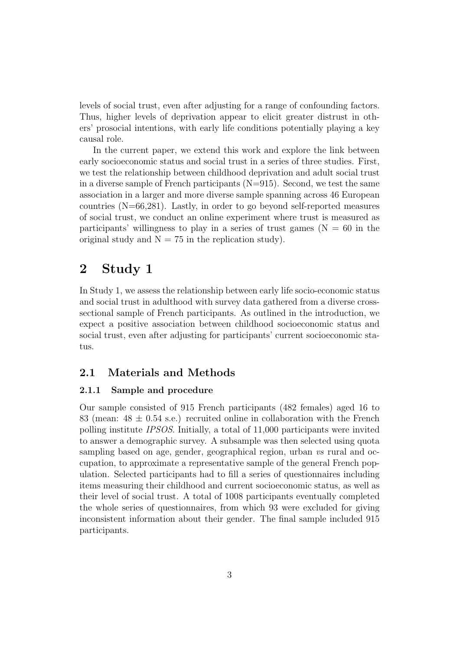levels of social trust, even after adjusting for a range of confounding factors. Thus, higher levels of deprivation appear to elicit greater distrust in others' prosocial intentions, with early life conditions potentially playing a key causal role.

In the current paper, we extend this work and explore the link between early socioeconomic status and social trust in a series of three studies. First, we test the relationship between childhood deprivation and adult social trust in a diverse sample of French participants  $(N=915)$ . Second, we test the same association in a larger and more diverse sample spanning across 46 European countries (N=66,281). Lastly, in order to go beyond self-reported measures of social trust, we conduct an online experiment where trust is measured as participants' willingness to play in a series of trust games ( $N = 60$  in the original study and  $N = 75$  in the replication study).

# 2 Study 1

In Study 1, we assess the relationship between early life socio-economic status and social trust in adulthood with survey data gathered from a diverse crosssectional sample of French participants. As outlined in the introduction, we expect a positive association between childhood socioeconomic status and social trust, even after adjusting for participants' current socioeconomic status.

### 2.1 Materials and Methods

### 2.1.1 Sample and procedure

Our sample consisted of 915 French participants (482 females) aged 16 to 83 (mean:  $48 \pm 0.54$  s.e.) recruited online in collaboration with the French polling institute IPSOS. Initially, a total of 11,000 participants were invited to answer a demographic survey. A subsample was then selected using quota sampling based on age, gender, geographical region, urban vs rural and occupation, to approximate a representative sample of the general French population. Selected participants had to fill a series of questionnaires including items measuring their childhood and current socioeconomic status, as well as their level of social trust. A total of 1008 participants eventually completed the whole series of questionnaires, from which 93 were excluded for giving inconsistent information about their gender. The final sample included 915 participants.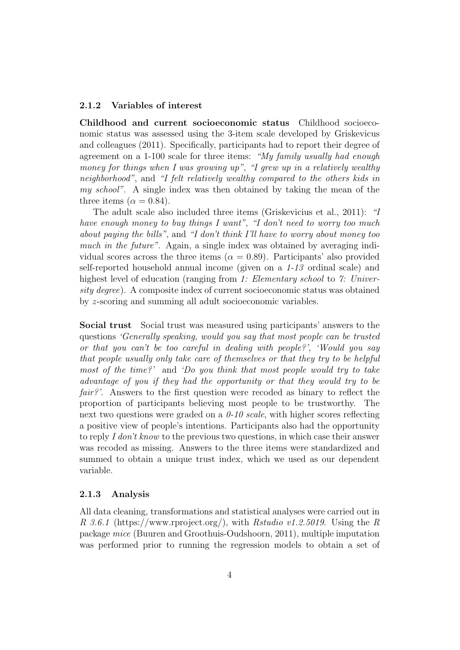### 2.1.2 Variables of interest

Childhood and current socioeconomic status Childhood socioeconomic status was assessed using the 3-item scale developed by Griskevicus and colleagues (2011). Specifically, participants had to report their degree of agreement on a 1-100 scale for three items: "My family usually had enough money for things when I was growing up", "I grew up in a relatively wealthy neighborhood", and "I felt relatively wealthy compared to the others kids in my school". A single index was then obtained by taking the mean of the three items ( $\alpha = 0.84$ ).

The adult scale also included three items (Griskevicius et al., 2011): "I have enough money to buy things I want", "I don't need to worry too much about paying the bills", and "I don't think I'll have to worry about money too much in the future". Again, a single index was obtained by averaging individual scores across the three items ( $\alpha = 0.89$ ). Participants' also provided self-reported household annual income (given on a 1-13 ordinal scale) and highest level of education (ranging from 1: Elementary school to 7: University degree). A composite index of current socioeconomic status was obtained by *z*-scoring and summing all adult socioeconomic variables.

Social trust Social trust was measured using participants' answers to the questions 'Generally speaking, would you say that most people can be trusted or that you can't be too careful in dealing with people?', 'Would you say that people usually only take care of themselves or that they try to be helpful most of the time?' and 'Do you think that most people would try to take advantage of you if they had the opportunity or that they would try to be fair?'. Answers to the first question were recoded as binary to reflect the proportion of participants believing most people to be trustworthy. The next two questions were graded on a  $0\n-10$  scale, with higher scores reflecting a positive view of people's intentions. Participants also had the opportunity to reply I don't know to the previous two questions, in which case their answer was recoded as missing. Answers to the three items were standardized and summed to obtain a unique trust index, which we used as our dependent variable.

#### 2.1.3 Analysis

All data cleaning, transformations and statistical analyses were carried out in R 3.6.1 (https://www.rproject.org/), with Rstudio v1.2.5019. Using the R package mice (Buuren and Groothuis-Oudshoorn, 2011), multiple imputation was performed prior to running the regression models to obtain a set of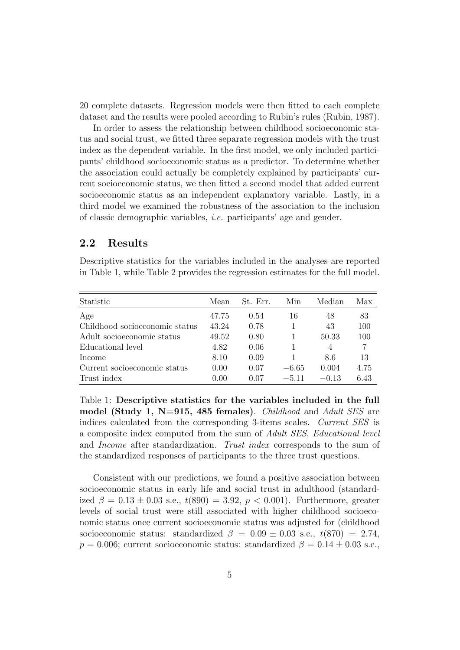20 complete datasets. Regression models were then fitted to each complete dataset and the results were pooled according to Rubin's rules (Rubin, 1987).

In order to assess the relationship between childhood socioeconomic status and social trust, we fitted three separate regression models with the trust index as the dependent variable. In the first model, we only included participants' childhood socioeconomic status as a predictor. To determine whether the association could actually be completely explained by participants' current socioeconomic status, we then fitted a second model that added current socioeconomic status as an independent explanatory variable. Lastly, in a third model we examined the robustness of the association to the inclusion of classic demographic variables, i.e. participants' age and gender.

### 2.2 Results

Descriptive statistics for the variables included in the analyses are reported in Table 1, while Table 2 provides the regression estimates for the full model.

| Statistic                      | Mean  | St. Err. | Min     | Median         | Max  |
|--------------------------------|-------|----------|---------|----------------|------|
| Age                            | 47.75 | 0.54     | 16      | 48             | 83   |
| Childhood socioeconomic status | 43.24 | 0.78     |         | 43             | 100  |
| Adult socioeconomic status     | 49.52 | 0.80     |         | 50.33          | 100  |
| Educational level              | 4.82  | 0.06     |         | $\overline{4}$ | 7    |
| Income                         | 8.10  | 0.09     |         | 8.6            | 13   |
| Current socioeconomic status   | 0.00  | 0.07     | $-6.65$ | 0.004          | 4.75 |
| Trust index                    | 0.00  | 0 07     | $-511$  | $-0.13$        | 6.43 |

Table 1: Descriptive statistics for the variables included in the full model (Study 1, N=915, 485 females). *Childhood* and *Adult SES* are indices calculated from the corresponding 3-items scales. Current SES is a composite index computed from the sum of Adult SES, Educational level and Income after standardization. Trust index corresponds to the sum of the standardized responses of participants to the three trust questions.

Consistent with our predictions, we found a positive association between socioeconomic status in early life and social trust in adulthood (standardized  $\beta = 0.13 \pm 0.03$  s.e.,  $t(890) = 3.92$ ,  $p < 0.001$ ). Furthermore, greater levels of social trust were still associated with higher childhood socioeconomic status once current socioeconomic status was adjusted for (childhood socioeconomic status: standardized  $\beta = 0.09 \pm 0.03$  s.e.,  $t(870) = 2.74$ ,  $p = 0.006$ ; current socioeconomic status: standardized  $\beta = 0.14 \pm 0.03$  s.e.,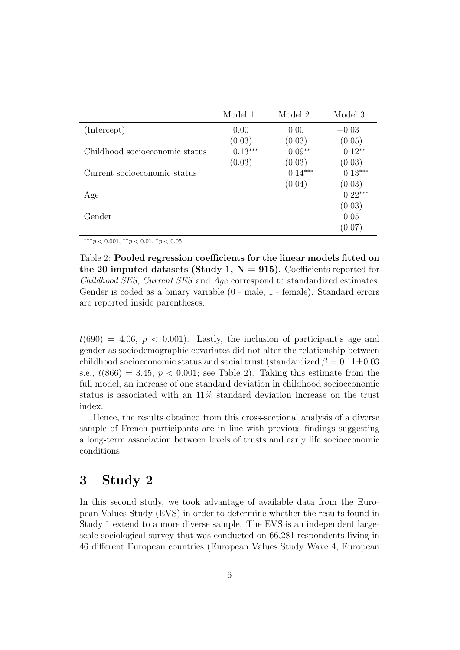|                                | Model 1   | Model 2   | Model 3   |
|--------------------------------|-----------|-----------|-----------|
| (Intercept)                    | 0.00      | 0.00      | $-0.03$   |
|                                | (0.03)    | (0.03)    | (0.05)    |
| Childhood socioeconomic status | $0.13***$ | $0.09**$  | $0.12**$  |
|                                | (0.03)    | (0.03)    | (0.03)    |
| Current socioeconomic status   |           | $0.14***$ | $0.13***$ |
|                                |           | (0.04)    | (0.03)    |
| Age                            |           |           | $0.22***$ |
|                                |           |           | (0.03)    |
| Gender                         |           |           | 0.05      |
|                                |           |           | (0.07)    |

∗∗∗p < 0.001, ∗∗p < 0.01, <sup>∗</sup>p < 0.05

Table 2: Pooled regression coefficients for the linear models fitted on the 20 imputed datasets (Study 1,  $N = 915$ ). Coefficients reported for Childhood SES, Current SES and Age correspond to standardized estimates. Gender is coded as a binary variable (0 - male, 1 - female). Standard errors are reported inside parentheses.

 $t(690) = 4.06, p < 0.001$ . Lastly, the inclusion of participant's age and gender as sociodemographic covariates did not alter the relationship between childhood socioeconomic status and social trust (standardized  $\beta = 0.11 \pm 0.03$ s.e.,  $t(866) = 3.45$ ,  $p < 0.001$ ; see Table 2). Taking this estimate from the full model, an increase of one standard deviation in childhood socioeconomic status is associated with an 11% standard deviation increase on the trust index.

Hence, the results obtained from this cross-sectional analysis of a diverse sample of French participants are in line with previous findings suggesting a long-term association between levels of trusts and early life socioeconomic conditions.

# 3 Study 2

In this second study, we took advantage of available data from the European Values Study (EVS) in order to determine whether the results found in Study 1 extend to a more diverse sample. The EVS is an independent largescale sociological survey that was conducted on 66,281 respondents living in 46 different European countries (European Values Study Wave 4, European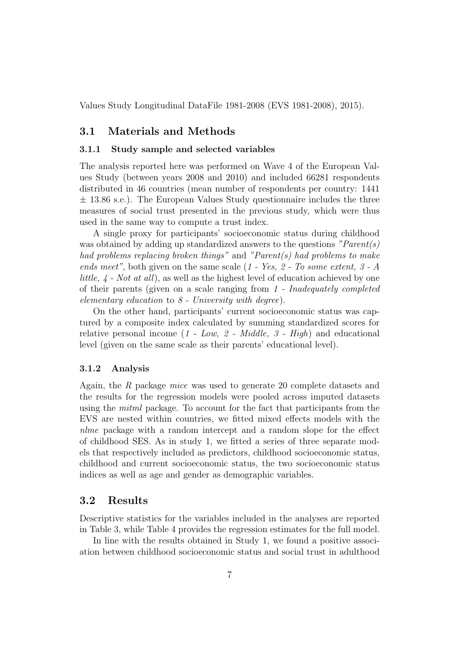Values Study Longitudinal DataFile 1981-2008 (EVS 1981-2008), 2015).

### 3.1 Materials and Methods

#### 3.1.1 Study sample and selected variables

The analysis reported here was performed on Wave 4 of the European Values Study (between years 2008 and 2010) and included 66281 respondents distributed in 46 countries (mean number of respondents per country: 1441  $\pm$  13.86 s.e.). The European Values Study questionnaire includes the three measures of social trust presented in the previous study, which were thus used in the same way to compute a trust index.

A single proxy for participants' socioeconomic status during childhood was obtained by adding up standardized answers to the questions  $"Parent(s)$ had problems replacing broken things" and "Parent(s) had problems to make ends meet", both given on the same scale (1 - Yes, 2 - To some extent, 3 - A little, 4 - Not at all), as well as the highest level of education achieved by one of their parents (given on a scale ranging from 1 - Inadequately completed elementary education to  $8$  - University with degree).

On the other hand, participants' current socioeconomic status was captured by a composite index calculated by summing standardized scores for relative personal income  $(1 - Low, 2 - Middle, 3 - High)$  and educational level (given on the same scale as their parents' educational level).

### 3.1.2 Analysis

Again, the R package mice was used to generate 20 complete datasets and the results for the regression models were pooled across imputed datasets using the mitml package. To account for the fact that participants from the EVS are nested within countries, we fitted mixed effects models with the nlme package with a random intercept and a random slope for the effect of childhood SES. As in study 1, we fitted a series of three separate models that respectively included as predictors, childhood socioeconomic status, childhood and current socioeconomic status, the two socioeconomic status indices as well as age and gender as demographic variables.

### 3.2 Results

Descriptive statistics for the variables included in the analyses are reported in Table 3, while Table 4 provides the regression estimates for the full model.

In line with the results obtained in Study 1, we found a positive association between childhood socioeconomic status and social trust in adulthood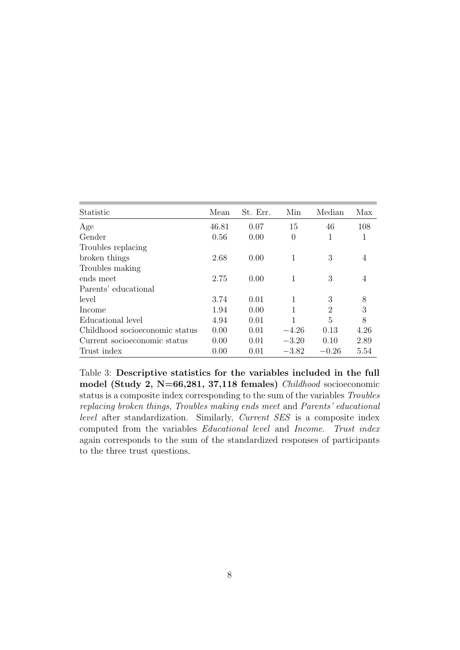| Statistic                      | Mean  | St. Err. | Min      | Median  | Max  |
|--------------------------------|-------|----------|----------|---------|------|
| Age                            | 46.81 | 0.07     | 15       | 46      | 108  |
| Gender                         | 0.56  | 0.00     | $\theta$ | 1       | 1    |
| Troubles replacing             |       |          |          |         |      |
| broken things                  | 2.68  | 0.00     |          | 3       | 4    |
| Troubles making                |       |          |          |         |      |
| ends meet                      | 2.75  | 0.00     | 1        | 3       | 4    |
| Parents' educational           |       |          |          |         |      |
| level                          | 3.74  | 0.01     | 1        | 3       | 8    |
| Income                         | 1.94  | 0.00     | 1        | 2       | 3    |
| Educational level              | 4.94  | 0.01     |          | 5       | 8    |
| Childhood socioeconomic status | 0.00  | 0.01     | $-4.26$  | 0.13    | 4.26 |
| Current socioeconomic status   | 0.00  | 0.01     | $-3.20$  | 0.10    | 2.89 |
| Trust index                    | 0.00  | 0.01     | $-3.82$  | $-0.26$ | 5.54 |

Table 3: Descriptive statistics for the variables included in the full model (Study 2, N=66,281, 37,118 females) Childhood socioeconomic status is a composite index corresponding to the sum of the variables Troubles replacing broken things, Troubles making ends meet and Parents' educational level after standardization. Similarly, Current SES is a composite index computed from the variables Educational level and Income. Trust index again corresponds to the sum of the standardized responses of participants to the three trust questions.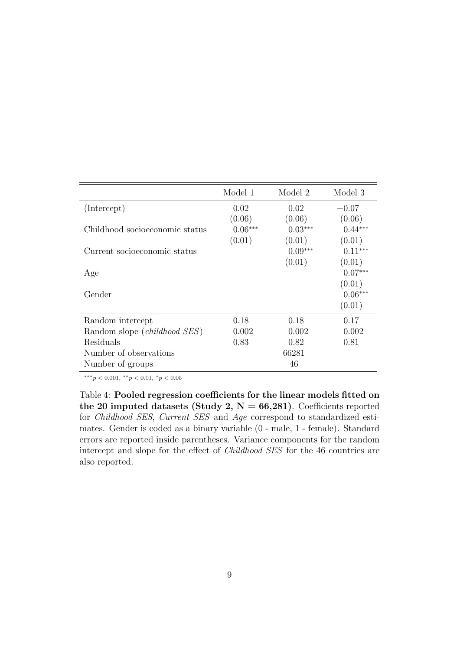|                                | Model 1   | Model 2   | Model 3   |
|--------------------------------|-----------|-----------|-----------|
| (Intercept)                    | 0.02      | 0.02      | $-0.07$   |
|                                | (0.06)    | (0.06)    | (0.06)    |
| Childhood socioeconomic status | $0.06***$ | $0.03***$ | $0.44***$ |
|                                | (0.01)    | (0.01)    | (0.01)    |
| Current socioeconomic status   |           | $0.09***$ | $0.11***$ |
|                                |           | (0.01)    | (0.01)    |
| Age                            |           |           | $0.07***$ |
|                                |           |           | (0.01)    |
| Gender                         |           |           | $0.06***$ |
|                                |           |           | (0.01)    |
| Random intercept               | 0.18      | 0.18      | 0.17      |
| Random slope (childhood SES)   | 0.002     | 0.002     | 0.002     |
| Residuals                      | 0.83      | 0.82      | 0.81      |
| Number of observations         |           | 66281     |           |
| Number of groups               |           | 46        |           |

∗∗∗p < 0.001, ∗∗p < 0.01, <sup>∗</sup>p < 0.05

Table 4: Pooled regression coefficients for the linear models fitted on the 20 imputed datasets (Study 2,  $N = 66,281$ ). Coefficients reported for Childhood SES, Current SES and Age correspond to standardized estimates. Gender is coded as a binary variable (0 - male, 1 - female). Standard errors are reported inside parentheses. Variance components for the random intercept and slope for the effect of Childhood SES for the 46 countries are also reported.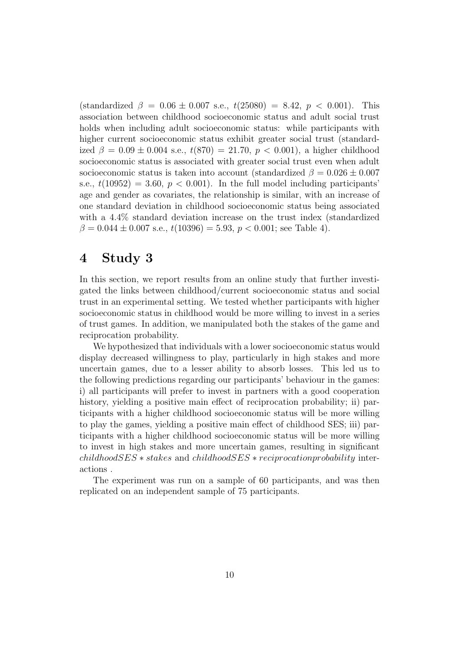(standardized  $\beta = 0.06 \pm 0.007$  s.e.,  $t(25080) = 8.42$ ,  $p < 0.001$ ). This association between childhood socioeconomic status and adult social trust holds when including adult socioeconomic status: while participants with higher current socioeconomic status exhibit greater social trust (standardized  $\beta = 0.09 \pm 0.004$  s.e.,  $t(870) = 21.70$ ,  $p < 0.001$ ), a higher childhood socioeconomic status is associated with greater social trust even when adult socioeconomic status is taken into account (standardized  $\beta = 0.026 \pm 0.007$ s.e.,  $t(10952) = 3.60, p < 0.001$ . In the full model including participants' age and gender as covariates, the relationship is similar, with an increase of one standard deviation in childhood socioeconomic status being associated with a 4.4% standard deviation increase on the trust index (standardized  $\beta = 0.044 \pm 0.007$  s.e.,  $t(10396) = 5.93$ ,  $p < 0.001$ ; see Table 4).

# 4 Study 3

In this section, we report results from an online study that further investigated the links between childhood/current socioeconomic status and social trust in an experimental setting. We tested whether participants with higher socioeconomic status in childhood would be more willing to invest in a series of trust games. In addition, we manipulated both the stakes of the game and reciprocation probability.

We hypothesized that individuals with a lower socioeconomic status would display decreased willingness to play, particularly in high stakes and more uncertain games, due to a lesser ability to absorb losses. This led us to the following predictions regarding our participants' behaviour in the games: i) all participants will prefer to invest in partners with a good cooperation history, yielding a positive main effect of reciprocation probability; ii) participants with a higher childhood socioeconomic status will be more willing to play the games, yielding a positive main effect of childhood SES; iii) participants with a higher childhood socioeconomic status will be more willing to invest in high stakes and more uncertain games, resulting in significant childhoodSES ∗ stakes and childhoodSES ∗ reciprocationprobability interactions .

The experiment was run on a sample of 60 participants, and was then replicated on an independent sample of 75 participants.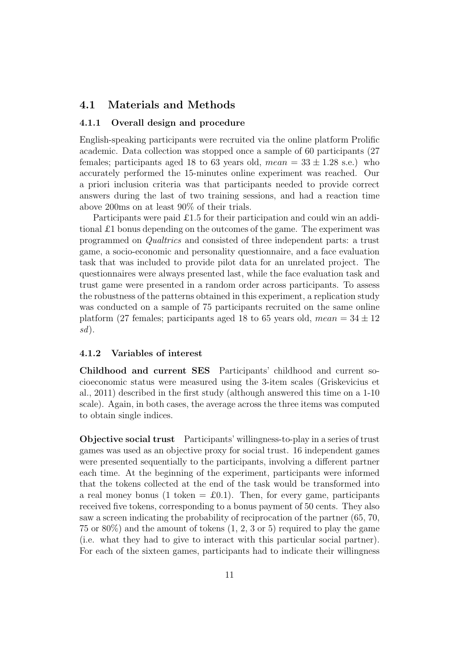### 4.1 Materials and Methods

#### 4.1.1 Overall design and procedure

English-speaking participants were recruited via the online platform Prolific academic. Data collection was stopped once a sample of 60 participants (27 females; participants aged 18 to 63 years old,  $mean = 33 \pm 1.28$  s.e.) who accurately performed the 15-minutes online experiment was reached. Our a priori inclusion criteria was that participants needed to provide correct answers during the last of two training sessions, and had a reaction time above 200ms on at least 90% of their trials.

Participants were paid £1.5 for their participation and could win an additional £1 bonus depending on the outcomes of the game. The experiment was programmed on Qualtrics and consisted of three independent parts: a trust game, a socio-economic and personality questionnaire, and a face evaluation task that was included to provide pilot data for an unrelated project. The questionnaires were always presented last, while the face evaluation task and trust game were presented in a random order across participants. To assess the robustness of the patterns obtained in this experiment, a replication study was conducted on a sample of 75 participants recruited on the same online platform (27 females; participants aged 18 to 65 years old,  $mean = 34 \pm 12$ sd).

### 4.1.2 Variables of interest

Childhood and current SES Participants' childhood and current socioeconomic status were measured using the 3-item scales (Griskevicius et al., 2011) described in the first study (although answered this time on a 1-10 scale). Again, in both cases, the average across the three items was computed to obtain single indices.

Objective social trust Participants' willingness-to-play in a series of trust games was used as an objective proxy for social trust. 16 independent games were presented sequentially to the participants, involving a different partner each time. At the beginning of the experiment, participants were informed that the tokens collected at the end of the task would be transformed into a real money bonus (1 token  $= \pounds 0.1$ ). Then, for every game, participants received five tokens, corresponding to a bonus payment of 50 cents. They also saw a screen indicating the probability of reciprocation of the partner (65, 70, 75 or 80%) and the amount of tokens (1, 2, 3 or 5) required to play the game (i.e. what they had to give to interact with this particular social partner). For each of the sixteen games, participants had to indicate their willingness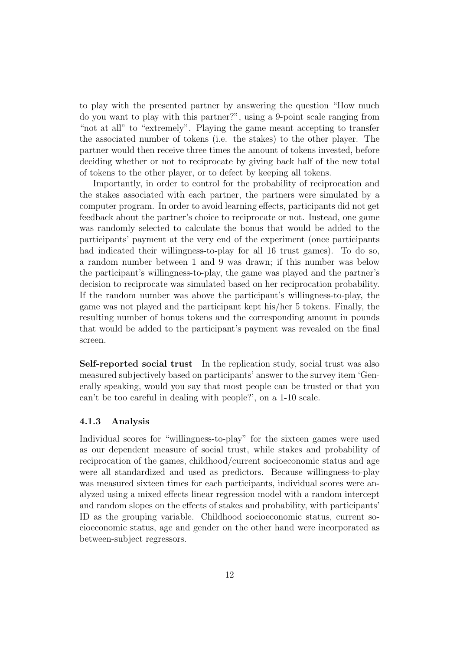to play with the presented partner by answering the question "How much do you want to play with this partner?", using a 9-point scale ranging from "not at all" to "extremely". Playing the game meant accepting to transfer the associated number of tokens (i.e. the stakes) to the other player. The partner would then receive three times the amount of tokens invested, before deciding whether or not to reciprocate by giving back half of the new total of tokens to the other player, or to defect by keeping all tokens.

Importantly, in order to control for the probability of reciprocation and the stakes associated with each partner, the partners were simulated by a computer program. In order to avoid learning effects, participants did not get feedback about the partner's choice to reciprocate or not. Instead, one game was randomly selected to calculate the bonus that would be added to the participants' payment at the very end of the experiment (once participants had indicated their willingness-to-play for all 16 trust games). To do so, a random number between 1 and 9 was drawn; if this number was below the participant's willingness-to-play, the game was played and the partner's decision to reciprocate was simulated based on her reciprocation probability. If the random number was above the participant's willingness-to-play, the game was not played and the participant kept his/her 5 tokens. Finally, the resulting number of bonus tokens and the corresponding amount in pounds that would be added to the participant's payment was revealed on the final screen.

Self-reported social trust In the replication study, social trust was also measured subjectively based on participants' answer to the survey item 'Generally speaking, would you say that most people can be trusted or that you can't be too careful in dealing with people?', on a 1-10 scale.

#### 4.1.3 Analysis

Individual scores for "willingness-to-play" for the sixteen games were used as our dependent measure of social trust, while stakes and probability of reciprocation of the games, childhood/current socioeconomic status and age were all standardized and used as predictors. Because willingness-to-play was measured sixteen times for each participants, individual scores were analyzed using a mixed effects linear regression model with a random intercept and random slopes on the effects of stakes and probability, with participants' ID as the grouping variable. Childhood socioeconomic status, current socioeconomic status, age and gender on the other hand were incorporated as between-subject regressors.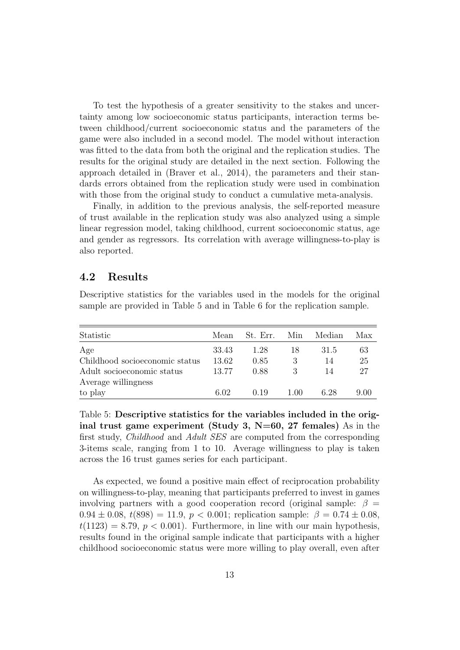To test the hypothesis of a greater sensitivity to the stakes and uncertainty among low socioeconomic status participants, interaction terms between childhood/current socioeconomic status and the parameters of the game were also included in a second model. The model without interaction was fitted to the data from both the original and the replication studies. The results for the original study are detailed in the next section. Following the approach detailed in (Braver et al., 2014), the parameters and their standards errors obtained from the replication study were used in combination with those from the original study to conduct a cumulative meta-analysis.

Finally, in addition to the previous analysis, the self-reported measure of trust available in the replication study was also analyzed using a simple linear regression model, taking childhood, current socioeconomic status, age and gender as regressors. Its correlation with average willingness-to-play is also reported.

### 4.2 Results

Descriptive statistics for the variables used in the models for the original sample are provided in Table 5 and in Table 6 for the replication sample.

| Statistic                      | Mean  | St. Err. | Min  | Median | Max  |
|--------------------------------|-------|----------|------|--------|------|
| Age                            | 33.43 | 1.28     | 18   | 31.5   | 63   |
| Childhood socioeconomic status | 13.62 | 0.85     |      | 14     | 25   |
| Adult socioeconomic status     | 13.77 | 0.88     |      | 14     | 27   |
| Average willingness            |       |          |      |        |      |
| to play                        | 6.02  | 0.19     | 1.00 | 628    | 9.00 |

Table 5: Descriptive statistics for the variables included in the original trust game experiment (Study 3,  $N=60$ , 27 females) As in the first study, Childhood and Adult SES are computed from the corresponding 3-items scale, ranging from 1 to 10. Average willingness to play is taken across the 16 trust games series for each participant.

As expected, we found a positive main effect of reciprocation probability on willingness-to-play, meaning that participants preferred to invest in games involving partners with a good cooperation record (original sample:  $\beta =$  $0.94 \pm 0.08$ ,  $t(898) = 11.9$ ,  $p < 0.001$ ; replication sample:  $\beta = 0.74 \pm 0.08$ ,  $t(1123) = 8.79, p < 0.001$ . Furthermore, in line with our main hypothesis, results found in the original sample indicate that participants with a higher childhood socioeconomic status were more willing to play overall, even after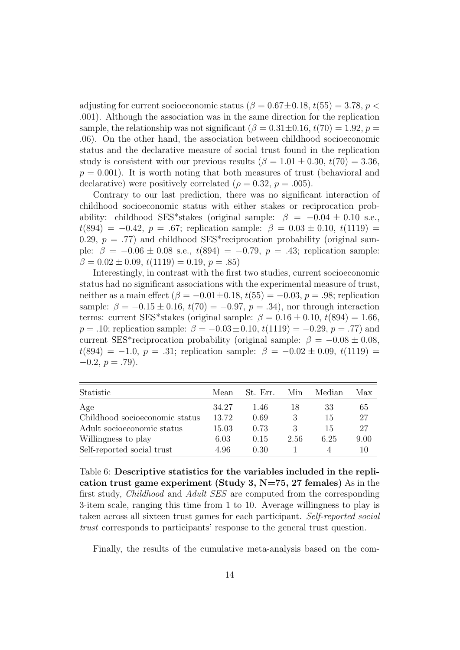adjusting for current socioeconomic status ( $\beta = 0.67 \pm 0.18$ ,  $t(55) = 3.78$ ,  $p <$ .001). Although the association was in the same direction for the replication sample, the relationship was not significant  $(\beta = 0.31 \pm 0.16, t(70) = 1.92, p =$ .06). On the other hand, the association between childhood socioeconomic status and the declarative measure of social trust found in the replication study is consistent with our previous results  $(\beta = 1.01 \pm 0.30, t(70) = 3.36,$  $p = 0.001$ . It is worth noting that both measures of trust (behavioral and declarative) were positively correlated ( $\rho = 0.32$ ,  $p = .005$ ).

Contrary to our last prediction, there was no significant interaction of childhood socioeconomic status with either stakes or reciprocation probability: childhood SES\*stakes (original sample:  $\beta = -0.04 \pm 0.10$  s.e.,  $t(894) = -0.42$ ,  $p = .67$ ; replication sample:  $\beta = 0.03 \pm 0.10$ ,  $t(1119) =$ 0.29,  $p = .77$ ) and childhood SES<sup>\*</sup>reciprocation probability (original sample:  $\beta = -0.06 \pm 0.08$  s.e.,  $t(894) = -0.79$ ,  $p = .43$ ; replication sample:  $\beta = 0.02 \pm 0.09$ ,  $t(1119) = 0.19$ ,  $p = .85$ )

Interestingly, in contrast with the first two studies, current socioeconomic status had no significant associations with the experimental measure of trust, neither as a main effect  $(\beta = -0.01 \pm 0.18, t(55) = -0.03, p = .98;$  replication sample:  $\beta = -0.15 \pm 0.16$ ,  $t(70) = -0.97$ ,  $p = .34$ ), nor through interaction terms: current SES\*stakes (original sample:  $\beta = 0.16 \pm 0.10$ ,  $t(894) = 1.66$ ,  $p = .10$ ; replication sample:  $\beta = -0.03 \pm 0.10, t(1119) = -0.29, p = .77$  and current SES\*reciprocation probability (original sample:  $\beta = -0.08 \pm 0.08$ ,  $t(894) = -1.0, p = .31;$  replication sample:  $\beta = -0.02 \pm 0.09, t(1119) =$  $-0.2, p = .79$ ).

| Statistic                      | Mean  | St. Err. | Min  | Median | Max  |
|--------------------------------|-------|----------|------|--------|------|
| Age                            | 34.27 | 1.46     | 18   | 33     | 65   |
| Childhood socioeconomic status | 13.72 | 0.69     |      | 15     | 27   |
| Adult socioeconomic status     | 15.03 | 0.73     |      | 15     | 27   |
| Willingness to play            | 6.03  | 0.15     | 2.56 | 6.25   | 9.00 |
| Self-reported social trust     | 4.96  | 0.30     |      | 4      | 10   |

Table 6: Descriptive statistics for the variables included in the replication trust game experiment (Study 3,  $N=75$ , 27 females) As in the first study, Childhood and Adult SES are computed from the corresponding 3-item scale, ranging this time from 1 to 10. Average willingness to play is taken across all sixteen trust games for each participant. Self-reported social trust corresponds to participants' response to the general trust question.

Finally, the results of the cumulative meta-analysis based on the com-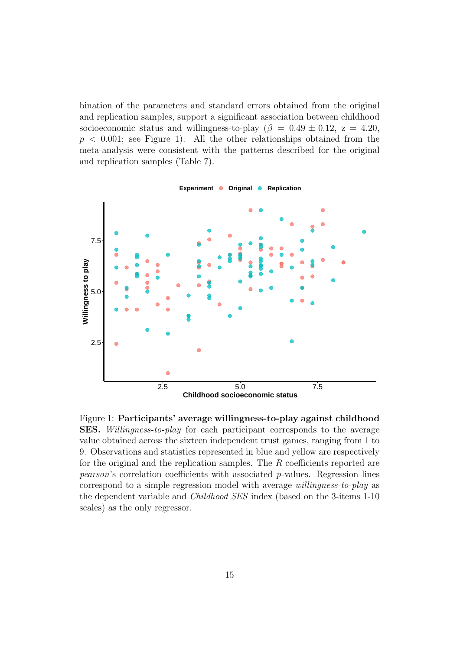bination of the parameters and standard errors obtained from the original and replication samples, support a significant association between childhood socioeconomic status and willingness-to-play ( $\beta = 0.49 \pm 0.12$ ,  $z = 4.20$ ,  $p < 0.001$ ; see Figure 1). All the other relationships obtained from the meta-analysis were consistent with the patterns described for the original and replication samples (Table 7).



Figure 1: Participants' average willingness-to-play against childhood SES. Willingness-to-play for each participant corresponds to the average value obtained across the sixteen independent trust games, ranging from 1 to 9. Observations and statistics represented in blue and yellow are respectively for the original and the replication samples. The  $R$  coefficients reported are pearson's correlation coefficients with associated p-values. Regression lines correspond to a simple regression model with average willingness-to-play as the dependent variable and Childhood SES index (based on the 3-items 1-10 scales) as the only regressor.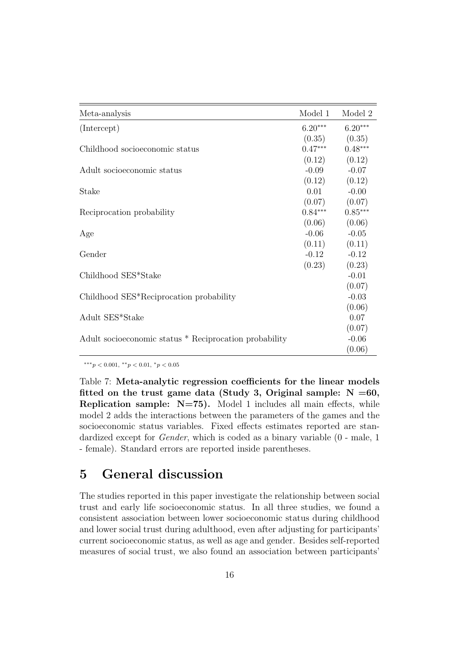| Meta-analysis                                          | Model 1   | Model 2   |
|--------------------------------------------------------|-----------|-----------|
| (Intercept)                                            | $6.20***$ | $6.20***$ |
|                                                        | (0.35)    | (0.35)    |
| Childhood socioeconomic status                         | $0.47***$ | $0.48***$ |
|                                                        | (0.12)    | (0.12)    |
| Adult socioeconomic status                             | $-0.09$   | $-0.07$   |
|                                                        | (0.12)    | (0.12)    |
| Stake                                                  | 0.01      | $-0.00$   |
|                                                        | (0.07)    | (0.07)    |
| Reciprocation probability                              | $0.84***$ | $0.85***$ |
|                                                        | (0.06)    | (0.06)    |
| Age                                                    | $-0.06$   | $-0.05$   |
|                                                        | (0.11)    | (0.11)    |
| Gender                                                 | $-0.12$   | $-0.12$   |
|                                                        | (0.23)    | (0.23)    |
| Childhood SES*Stake                                    |           | $-0.01$   |
|                                                        |           | (0.07)    |
| Childhood SES*Reciprocation probability                |           | $-0.03$   |
|                                                        |           | (0.06)    |
| Adult SES*Stake                                        |           | 0.07      |
|                                                        |           | (0.07)    |
| Adult socioeconomic status * Reciprocation probability |           | $-0.06$   |
|                                                        |           | (0.06)    |

∗∗∗p < 0.001, ∗∗p < 0.01, <sup>∗</sup>p < 0.05

Table 7: Meta-analytic regression coefficients for the linear models fitted on the trust game data (Study 3, Original sample:  $N = 60$ , **Replication sample:**  $N=75$ ). Model 1 includes all main effects, while model 2 adds the interactions between the parameters of the games and the socioeconomic status variables. Fixed effects estimates reported are standardized except for Gender, which is coded as a binary variable (0 - male, 1 - female). Standard errors are reported inside parentheses.

# 5 General discussion

The studies reported in this paper investigate the relationship between social trust and early life socioeconomic status. In all three studies, we found a consistent association between lower socioeconomic status during childhood and lower social trust during adulthood, even after adjusting for participants' current socioeconomic status, as well as age and gender. Besides self-reported measures of social trust, we also found an association between participants'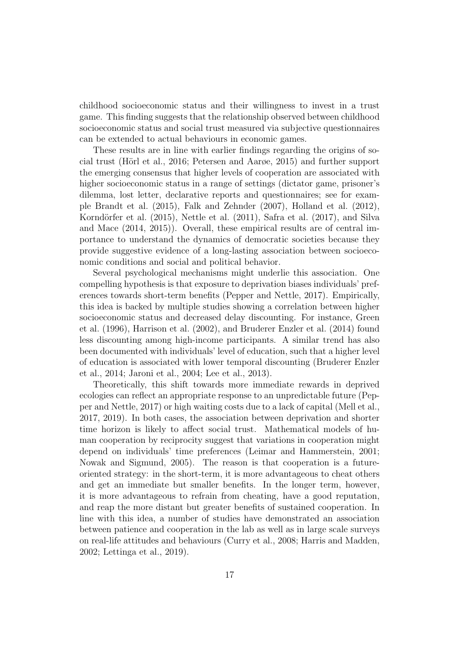childhood socioeconomic status and their willingness to invest in a trust game. This finding suggests that the relationship observed between childhood socioeconomic status and social trust measured via subjective questionnaires can be extended to actual behaviours in economic games.

These results are in line with earlier findings regarding the origins of social trust (H¨orl et al., 2016; Petersen and Aarøe, 2015) and further support the emerging consensus that higher levels of cooperation are associated with higher socioeconomic status in a range of settings (dictator game, prisoner's dilemma, lost letter, declarative reports and questionnaires; see for example Brandt et al. (2015), Falk and Zehnder (2007), Holland et al. (2012), Korndörfer et al.  $(2015)$ , Nettle et al.  $(2011)$ , Safra et al.  $(2017)$ , and Silva and Mace (2014, 2015)). Overall, these empirical results are of central importance to understand the dynamics of democratic societies because they provide suggestive evidence of a long-lasting association between socioeconomic conditions and social and political behavior.

Several psychological mechanisms might underlie this association. One compelling hypothesis is that exposure to deprivation biases individuals' preferences towards short-term benefits (Pepper and Nettle, 2017). Empirically, this idea is backed by multiple studies showing a correlation between higher socioeconomic status and decreased delay discounting. For instance, Green et al. (1996), Harrison et al. (2002), and Bruderer Enzler et al. (2014) found less discounting among high-income participants. A similar trend has also been documented with individuals' level of education, such that a higher level of education is associated with lower temporal discounting (Bruderer Enzler et al., 2014; Jaroni et al., 2004; Lee et al., 2013).

Theoretically, this shift towards more immediate rewards in deprived ecologies can reflect an appropriate response to an unpredictable future (Pepper and Nettle, 2017) or high waiting costs due to a lack of capital (Mell et al., 2017, 2019). In both cases, the association between deprivation and shorter time horizon is likely to affect social trust. Mathematical models of human cooperation by reciprocity suggest that variations in cooperation might depend on individuals' time preferences (Leimar and Hammerstein, 2001; Nowak and Sigmund, 2005). The reason is that cooperation is a futureoriented strategy: in the short-term, it is more advantageous to cheat others and get an immediate but smaller benefits. In the longer term, however, it is more advantageous to refrain from cheating, have a good reputation, and reap the more distant but greater benefits of sustained cooperation. In line with this idea, a number of studies have demonstrated an association between patience and cooperation in the lab as well as in large scale surveys on real-life attitudes and behaviours (Curry et al., 2008; Harris and Madden, 2002; Lettinga et al., 2019).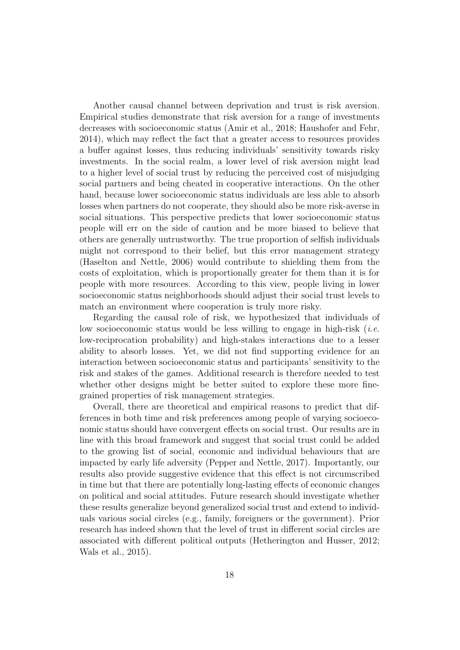Another causal channel between deprivation and trust is risk aversion. Empirical studies demonstrate that risk aversion for a range of investments decreases with socioeconomic status (Amir et al., 2018; Haushofer and Fehr, 2014), which may reflect the fact that a greater access to resources provides a buffer against losses, thus reducing individuals' sensitivity towards risky investments. In the social realm, a lower level of risk aversion might lead to a higher level of social trust by reducing the perceived cost of misjudging social partners and being cheated in cooperative interactions. On the other hand, because lower socioeconomic status individuals are less able to absorb losses when partners do not cooperate, they should also be more risk-averse in social situations. This perspective predicts that lower socioeconomic status people will err on the side of caution and be more biased to believe that others are generally untrustworthy. The true proportion of selfish individuals might not correspond to their belief, but this error management strategy (Haselton and Nettle, 2006) would contribute to shielding them from the costs of exploitation, which is proportionally greater for them than it is for people with more resources. According to this view, people living in lower socioeconomic status neighborhoods should adjust their social trust levels to match an environment where cooperation is truly more risky.

Regarding the causal role of risk, we hypothesized that individuals of low socioeconomic status would be less willing to engage in high-risk (*i.e.*) low-reciprocation probability) and high-stakes interactions due to a lesser ability to absorb losses. Yet, we did not find supporting evidence for an interaction between socioeconomic status and participants' sensitivity to the risk and stakes of the games. Additional research is therefore needed to test whether other designs might be better suited to explore these more finegrained properties of risk management strategies.

Overall, there are theoretical and empirical reasons to predict that differences in both time and risk preferences among people of varying socioeconomic status should have convergent effects on social trust. Our results are in line with this broad framework and suggest that social trust could be added to the growing list of social, economic and individual behaviours that are impacted by early life adversity (Pepper and Nettle, 2017). Importantly, our results also provide suggestive evidence that this effect is not circumscribed in time but that there are potentially long-lasting effects of economic changes on political and social attitudes. Future research should investigate whether these results generalize beyond generalized social trust and extend to individuals various social circles (e.g., family, foreigners or the government). Prior research has indeed shown that the level of trust in different social circles are associated with different political outputs (Hetherington and Husser, 2012; Wals et al., 2015).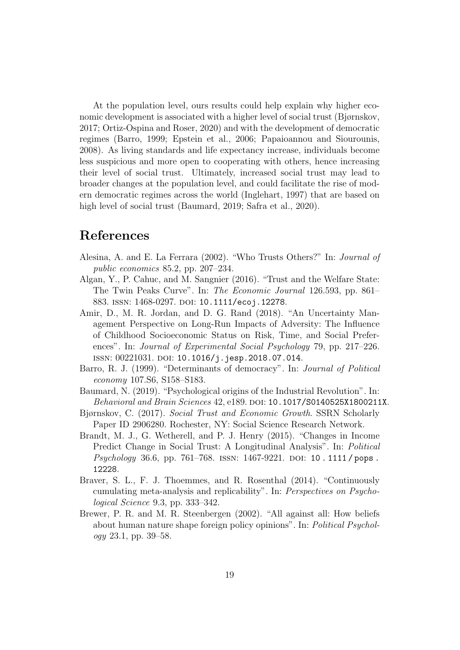At the population level, ours results could help explain why higher economic development is associated with a higher level of social trust (Bjørnskov, 2017; Ortiz-Ospina and Roser, 2020) and with the development of democratic regimes (Barro, 1999; Epstein et al., 2006; Papaioannou and Siourounis, 2008). As living standards and life expectancy increase, individuals become less suspicious and more open to cooperating with others, hence increasing their level of social trust. Ultimately, increased social trust may lead to broader changes at the population level, and could facilitate the rise of modern democratic regimes across the world (Inglehart, 1997) that are based on high level of social trust (Baumard, 2019; Safra et al., 2020).

# References

- Alesina, A. and E. La Ferrara (2002). "Who Trusts Others?" In: Journal of public economics 85.2, pp. 207–234.
- Algan, Y., P. Cahuc, and M. Sangnier (2016). "Trust and the Welfare State: The Twin Peaks Curve". In: The Economic Journal 126.593, pp. 861– 883. ISSN: 1468-0297. DOI: 10.1111/ecoj.12278.
- Amir, D., M. R. Jordan, and D. G. Rand (2018). "An Uncertainty Management Perspective on Long-Run Impacts of Adversity: The Influence of Childhood Socioeconomic Status on Risk, Time, and Social Preferences". In: Journal of Experimental Social Psychology 79, pp. 217–226. ISSN: 00221031. DOI: 10.1016/j.jesp.2018.07.014.
- Barro, R. J. (1999). "Determinants of democracy". In: Journal of Political economy 107.S6, S158–S183.
- Baumard, N. (2019). "Psychological origins of the Industrial Revolution". In: Behavioral and Brain Sciences 42, e189. DOI: 10.1017/S0140525X1800211X.
- Bjørnskov, C. (2017). Social Trust and Economic Growth. SSRN Scholarly Paper ID 2906280. Rochester, NY: Social Science Research Network.
- Brandt, M. J., G. Wetherell, and P. J. Henry (2015). "Changes in Income Predict Change in Social Trust: A Longitudinal Analysis". In: Political Psychology 36.6, pp. 761-768. ISSN: 1467-9221. DOI: 10.1111/pops. 12228.
- Braver, S. L., F. J. Thoemmes, and R. Rosenthal (2014). "Continuously cumulating meta-analysis and replicability". In: Perspectives on Psychological Science 9.3, pp. 333–342.
- Brewer, P. R. and M. R. Steenbergen (2002). "All against all: How beliefs about human nature shape foreign policy opinions". In: Political Psychology 23.1, pp. 39–58.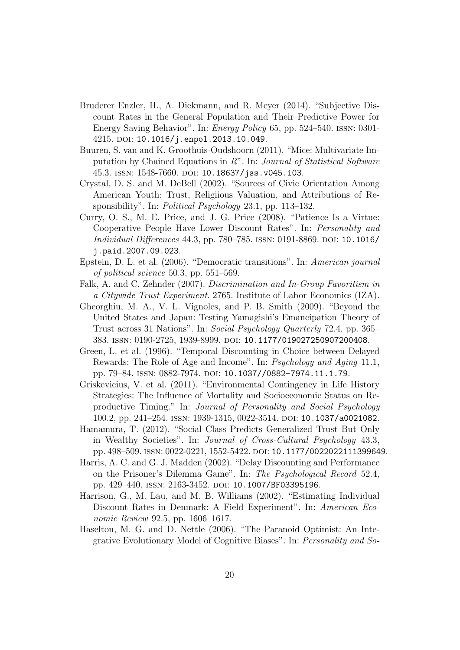- Bruderer Enzler, H., A. Diekmann, and R. Meyer (2014). "Subjective Discount Rates in the General Population and Their Predictive Power for Energy Saving Behavior". In: Energy Policy 65, pp. 524–540. issn: 0301- 4215. doi: 10.1016/j.enpol.2013.10.049.
- Buuren, S. van and K. Groothuis-Oudshoorn (2011). "Mice: Multivariate Imputation by Chained Equations in R". In: Journal of Statistical Software 45.3. issn: 1548-7660. doi: 10.18637/jss.v045.i03.
- Crystal, D. S. and M. DeBell (2002). "Sources of Civic Orientation Among American Youth: Trust, Religiious Valuation, and Attributions of Responsibility". In: *Political Psychology* 23.1, pp. 113–132.
- Curry, O. S., M. E. Price, and J. G. Price (2008). "Patience Is a Virtue: Cooperative People Have Lower Discount Rates". In: Personality and Individual Differences 44.3, pp. 780–785. issn: 0191-8869. doi: 10.1016/ j.paid.2007.09.023.
- Epstein, D. L. et al. (2006). "Democratic transitions". In: American journal of political science 50.3, pp. 551–569.
- Falk, A. and C. Zehnder (2007). Discrimination and In-Group Favoritism in a Citywide Trust Experiment. 2765. Institute of Labor Economics (IZA).
- Gheorghiu, M. A., V. L. Vignoles, and P. B. Smith (2009). "Beyond the United States and Japan: Testing Yamagishi's Emancipation Theory of Trust across 31 Nations". In: Social Psychology Quarterly 72.4, pp. 365– 383. issn: 0190-2725, 1939-8999. doi: 10.1177/019027250907200408.
- Green, L. et al. (1996). "Temporal Discounting in Choice between Delayed Rewards: The Role of Age and Income". In: Psychology and Aging 11.1, pp. 79–84. ISSN: 0882-7974. DOI: 10.1037//0882-7974.11.1.79.
- Griskevicius, V. et al. (2011). "Environmental Contingency in Life History Strategies: The Influence of Mortality and Socioeconomic Status on Reproductive Timing." In: Journal of Personality and Social Psychology 100.2, pp. 241–254. issn: 1939-1315, 0022-3514. doi: 10.1037/a0021082.
- Hamamura, T. (2012). "Social Class Predicts Generalized Trust But Only in Wealthy Societies". In: Journal of Cross-Cultural Psychology 43.3, pp. 498–509. ISSN: 0022-0221, 1552-5422. DOI: 10.1177/0022022111399649.
- Harris, A. C. and G. J. Madden (2002). "Delay Discounting and Performance on the Prisoner's Dilemma Game". In: The Psychological Record 52.4, pp. 429-440. ISSN: 2163-3452. DOI: 10.1007/BF03395196.
- Harrison, G., M. Lau, and M. B. Williams (2002). "Estimating Individual Discount Rates in Denmark: A Field Experiment". In: American Economic Review 92.5, pp. 1606–1617.
- Haselton, M. G. and D. Nettle (2006). "The Paranoid Optimist: An Integrative Evolutionary Model of Cognitive Biases". In: Personality and So-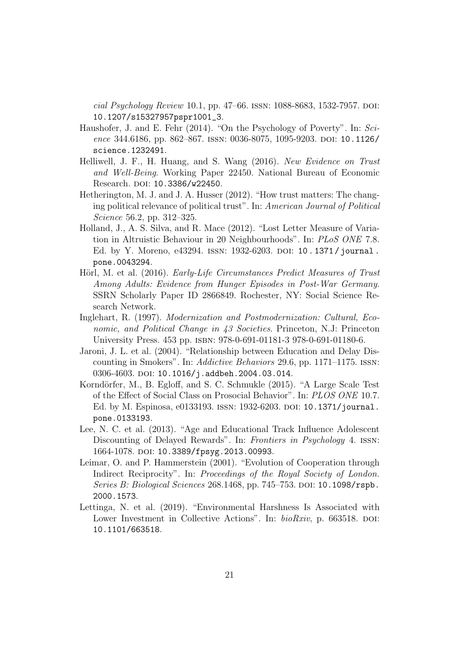cial Psychology Review 10.1, pp. 47–66. ISSN:  $1088-8683$ , 1532-7957. DOI: 10.1207/s15327957pspr1001\_3.

- Haushofer, J. and E. Fehr (2014). "On the Psychology of Poverty". In: Science 344.6186, pp. 862-867. ISSN: 0036-8075, 1095-9203. DOI: 10.1126/ science.1232491.
- Helliwell, J. F., H. Huang, and S. Wang (2016). New Evidence on Trust and Well-Being. Working Paper 22450. National Bureau of Economic Research. DOI: 10.3386/w22450.
- Hetherington, M. J. and J. A. Husser (2012). "How trust matters: The changing political relevance of political trust". In: American Journal of Political Science 56.2, pp. 312–325.
- Holland, J., A. S. Silva, and R. Mace (2012). "Lost Letter Measure of Variation in Altruistic Behaviour in 20 Neighbourhoods". In: PLoS ONE 7.8. Ed. by Y. Moreno, e43294. ISSN: 1932-6203. DOI: 10.1371/journal. pone.0043294.
- Hörl, M. et al. (2016). *Early-Life Circumstances Predict Measures of Trust* Among Adults: Evidence from Hunger Episodes in Post-War Germany. SSRN Scholarly Paper ID 2866849. Rochester, NY: Social Science Research Network.
- Inglehart, R. (1997). Modernization and Postmodernization: Cultural, Economic, and Political Change in 43 Societies. Princeton, N.J: Princeton University Press. 453 pp. isbn: 978-0-691-01181-3 978-0-691-01180-6.
- Jaroni, J. L. et al. (2004). "Relationship between Education and Delay Discounting in Smokers". In: Addictive Behaviors 29.6, pp. 1171–1175. issn: 0306-4603. DOI: 10.1016/j.addbeh.2004.03.014.
- Korndörfer, M., B. Egloff, and S. C. Schmukle (2015). "A Large Scale Test of the Effect of Social Class on Prosocial Behavior". In: PLOS ONE 10.7. Ed. by M. Espinosa, e0133193. ISSN: 1932-6203. DOI: 10.1371/journal. pone.0133193.
- Lee, N. C. et al. (2013). "Age and Educational Track Influence Adolescent Discounting of Delayed Rewards". In: Frontiers in Psychology 4. ISSN: 1664-1078. DOI: 10.3389/fpsyg.2013.00993.
- Leimar, O. and P. Hammerstein (2001). "Evolution of Cooperation through Indirect Reciprocity". In: Proceedings of the Royal Society of London. Series B: Biological Sciences 268.1468, pp. 745–753. doi: 10.1098/rspb. 2000.1573.
- Lettinga, N. et al. (2019). "Environmental Harshness Is Associated with Lower Investment in Collective Actions". In: bioRxiv, p. 663518. DOI: 10.1101/663518.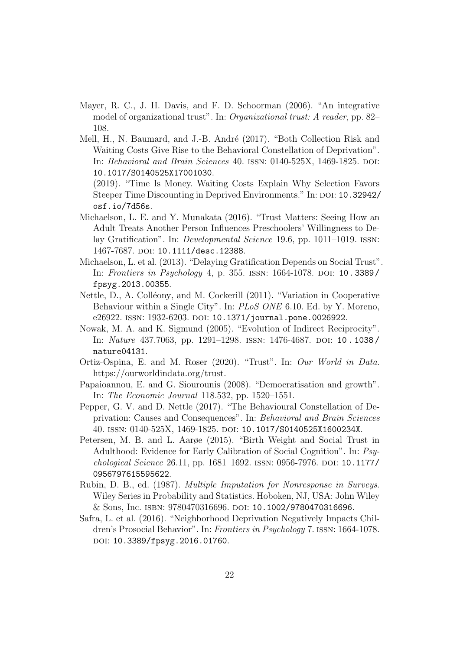- Mayer, R. C., J. H. Davis, and F. D. Schoorman (2006). "An integrative model of organizational trust". In: Organizational trust: A reader, pp. 82– 108.
- Mell, H., N. Baumard, and J.-B. André (2017). "Both Collection Risk and Waiting Costs Give Rise to the Behavioral Constellation of Deprivation". In: Behavioral and Brain Sciences 40. ISSN: 0140-525X, 1469-1825. DOI: 10.1017/S0140525X17001030.
- (2019). "Time Is Money. Waiting Costs Explain Why Selection Favors Steeper Time Discounting in Deprived Environments." In: DOI: 10.32942/ osf.io/7d56s.
- Michaelson, L. E. and Y. Munakata (2016). "Trust Matters: Seeing How an Adult Treats Another Person Influences Preschoolers' Willingness to Delay Gratification". In: Developmental Science 19.6, pp. 1011–1019. issn: 1467-7687. DOI: 10.1111/desc.12388.
- Michaelson, L. et al. (2013). "Delaying Gratification Depends on Social Trust". In: Frontiers in Psychology 4, p. 355. ISSN: 1664-1078. DOI: 10.3389/ fpsyg.2013.00355.
- Nettle, D., A. Colléony, and M. Cockerill (2011). "Variation in Cooperative Behaviour within a Single City". In: PLoS ONE 6.10. Ed. by Y. Moreno, e26922. ISSN: 1932-6203. DOI: 10.1371/journal.pone.0026922.
- Nowak, M. A. and K. Sigmund (2005). "Evolution of Indirect Reciprocity". In: *Nature* 437.7063, pp. 1291–1298. ISSN: 1476-4687. DOI: 10.1038/ nature04131.
- Ortiz-Ospina, E. and M. Roser (2020). "Trust". In: Our World in Data. https://ourworldindata.org/trust.
- Papaioannou, E. and G. Siourounis (2008). "Democratisation and growth". In: The Economic Journal 118.532, pp. 1520–1551.
- Pepper, G. V. and D. Nettle (2017). "The Behavioural Constellation of Deprivation: Causes and Consequences". In: Behavioral and Brain Sciences 40. issn: 0140-525X, 1469-1825. doi: 10.1017/S0140525X1600234X.
- Petersen, M. B. and L. Aarøe (2015). "Birth Weight and Social Trust in Adulthood: Evidence for Early Calibration of Social Cognition". In: Psychological Science 26.11, pp. 1681–1692. ISSN: 0956-7976. DOI: 10.1177/ 0956797615595622.
- Rubin, D. B., ed. (1987). Multiple Imputation for Nonresponse in Surveys. Wiley Series in Probability and Statistics. Hoboken, NJ, USA: John Wiley & Sons, Inc. isbn: 9780470316696. doi: 10.1002/9780470316696.
- Safra, L. et al. (2016). "Neighborhood Deprivation Negatively Impacts Children's Prosocial Behavior". In: Frontiers in Psychology 7. issn: 1664-1078. doi: 10.3389/fpsyg.2016.01760.